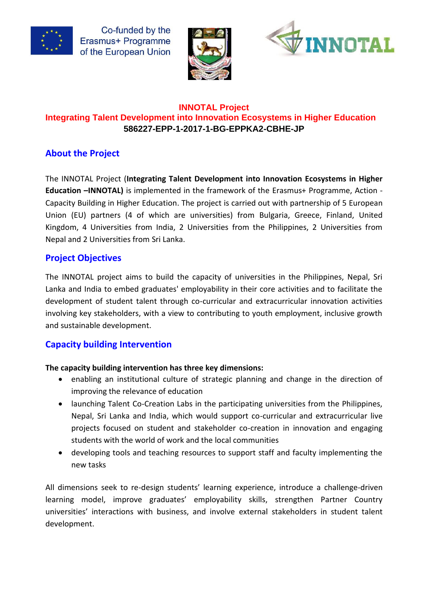





### **INNOTAL Project Integrating Talent Development into Innovation Ecosystems in Higher Education 586227-EPP-1-2017-1-BG-EPPKA2-CBHE-JP**

# **About the Project**

The INNOTAL Project (**Integrating Talent Development into Innovation Ecosystems in Higher Education –INNOTAL)** is implemented in the framework of the Erasmus+ Programme, Action - Capacity Building in Higher Education. The project is carried out with partnership of 5 European Union (EU) partners (4 of which are universities) from Bulgaria, Greece, Finland, United Kingdom, 4 Universities from India, 2 Universities from the Philippines, 2 Universities from Nepal and 2 Universities from Sri Lanka.

# **Project Objectives**

The INNOTAL project aims to build the capacity of universities in the Philippines, Nepal, Sri Lanka and India to embed graduates' employability in their core activities and to facilitate the development of student talent through co-curricular and extracurricular innovation activities involving key stakeholders, with a view to contributing to youth employment, inclusive growth and sustainable development.

# **Capacity building Intervention**

#### **The capacity building intervention has three key dimensions:**

- enabling an institutional culture of strategic planning and change in the direction of improving the relevance of education
- launching Talent Co-Creation Labs in the participating universities from the Philippines, Nepal, Sri Lanka and India, which would support co-curricular and extracurricular live projects focused on student and stakeholder co-creation in innovation and engaging students with the world of work and the local communities
- developing tools and teaching resources to support staff and faculty implementing the new tasks

All dimensions seek to re-design students' learning experience, introduce a challenge-driven learning model, improve graduates' employability skills, strengthen Partner Country universities' interactions with business, and involve external stakeholders in student talent development.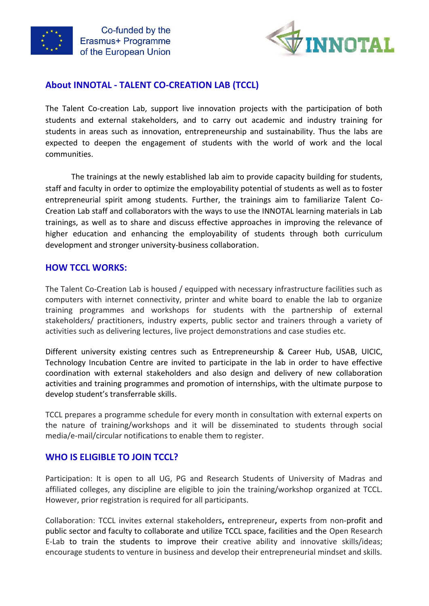



### **About INNOTAL - TALENT CO-CREATION LAB (TCCL)**

The Talent Co-creation Lab, support live innovation projects with the participation of both students and external stakeholders, and to carry out academic and industry training for students in areas such as innovation, entrepreneurship and sustainability. Thus the labs are expected to deepen the engagement of students with the world of work and the local communities.

The trainings at the newly established lab aim to provide capacity building for students, staff and faculty in order to optimize the employability potential of students as well as to foster entrepreneurial spirit among students. Further, the trainings aim to familiarize Talent Co-Creation Lab staff and collaborators with the ways to use the INNOTAL learning materials in Lab trainings, as well as to share and discuss effective approaches in improving the relevance of higher education and enhancing the employability of students through both curriculum development and stronger university-business collaboration.

#### **HOW TCCL WORKS:**

The Talent Co-Creation Lab is housed / equipped with necessary infrastructure facilities such as computers with internet connectivity, printer and white board to enable the lab to organize training programmes and workshops for students with the partnership of external stakeholders/ practitioners, industry experts, public sector and trainers through a variety of activities such as delivering lectures, live project demonstrations and case studies etc.

Different university existing centres such as Entrepreneurship & Career Hub, USAB, UICIC, Technology Incubation Centre are invited to participate in the lab in order to have effective coordination with external stakeholders and also design and delivery of new collaboration activities and training programmes and promotion of internships, with the ultimate purpose to develop student's transferrable skills.

TCCL prepares a programme schedule for every month in consultation with external experts on the nature of training/workshops and it will be disseminated to students through social media/e-mail/circular notifications to enable them to register.

#### **WHO IS ELIGIBLE TO JOIN TCCL?**

Participation: It is open to all UG, PG and Research Students of University of Madras and affiliated colleges, any discipline are eligible to join the training/workshop organized at TCCL. However, prior registration is required for all participants.

Collaboration: TCCL invites external stakeholders**,** entrepreneur**,** experts from non-profit and public sector and faculty to collaborate and utilize TCCL space, facilities and the Open Research E-Lab to train the students to improve their creative ability and innovative skills/ideas; encourage students to venture in business and develop their entrepreneurial mindset and skills.